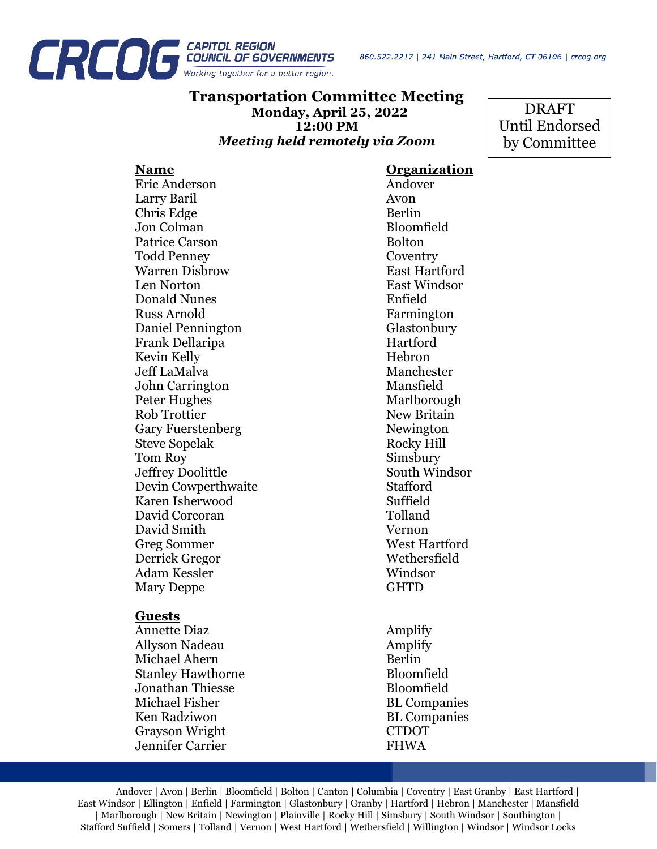

## **Transportation Committee Meeting Monday, April 25, 2022 12:00 PM** *Meeting held remotely via Zoom*

DRAFT Until Endorsed by Committee

Eric Anderson Andover Larry Baril Avon Chris Edge Berlin Jon Colman Bloomfield<br>Patrice Carson Bolton Patrice Carson Todd Penney Coventry Warren Disbrow East Hartford Len Norton East Windsor Donald Nunes Enfield Russ Arnold Farmington Daniel Pennington Glastonbury Frank Dellaripa Hartford Kevin Kelly **Hebron** Jeff LaMalva Manchester John Carrington Mansfield Peter Hughes Marlborough Rob Trottier New Britain Gary Fuerstenberg Newington Steve Sopelak Rocky Hill Tom Roy Simsbury Jeffrey Doolittle South Windsor Devin Cowperthwaite Stafford Karen Isherwood Suffield David Corcoran Tolland David Smith Vernon Greg Sommer Derrick Gregor Wethersfield Adam Kessler Windsor Mary Deppe GHTD

### **Guests**

Annette Diaz Amplify Allyson Nadeau Amplify Michael Ahern Berlin Stanley Hawthorne Bloomfield Jonathan Thiesse Bloomfield Michael Fisher BL Companies Ken Radziwon BL Companies Grayson Wright CTDOT Jennifer Carrier **FHWA** 

**Name Organization**

Andover | Avon | Berlin | Bloomfield | Bolton | Canton | Columbia | Coventry | East Granby | East Hartford | East Windsor | Ellington | Enfield | Farmington | Glastonbury | Granby | Hartford | Hebron | Manchester | Mansfield | Marlborough | New Britain | Newington | Plainville | Rocky Hill | Simsbury | South Windsor | Southington | Stafford Suffield | Somers | Tolland | Vernon | West Hartford | Wethersfield | Willington | Windsor | Windsor Locks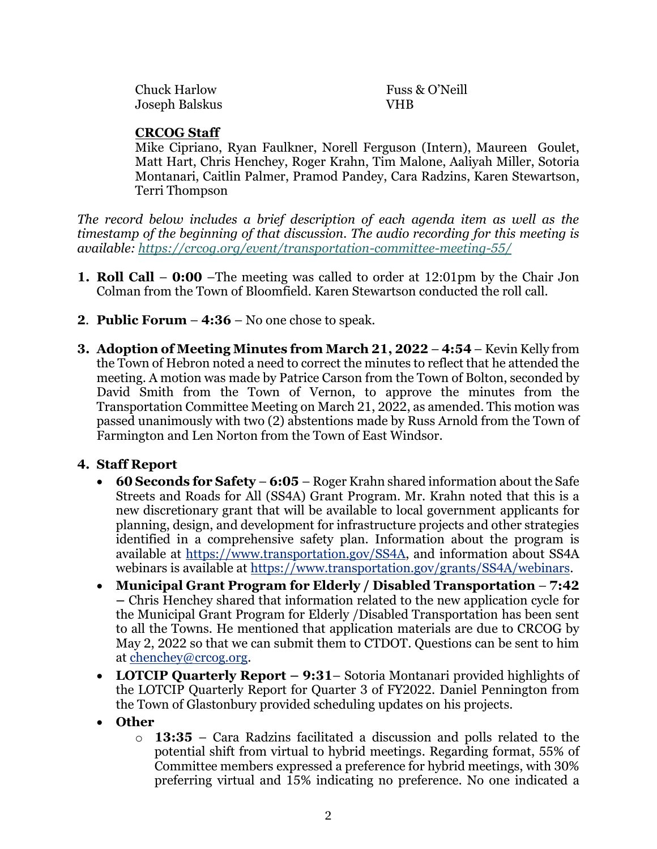| <b>Chuck Harlow</b> | Fuss & O'Neill |
|---------------------|----------------|
| Joseph Balskus      | <b>VHR</b>     |

## **CRCOG Staff**

Mike Cipriano, Ryan Faulkner, Norell Ferguson (Intern), Maureen Goulet, Matt Hart, Chris Henchey, Roger Krahn, Tim Malone, Aaliyah Miller, Sotoria Montanari, Caitlin Palmer, Pramod Pandey, Cara Radzins, Karen Stewartson, Terri Thompson

*The record below includes a brief description of each agenda item as well as the timestamp of the beginning of that discussion. The audio recording for this meeting is available: <https://crcog.org/event/transportation-committee-meeting-55/>*

- **1. Roll Call 0:00** –The meeting was called to order at 12:01pm by the Chair Jon Colman from the Town of Bloomfield. Karen Stewartson conducted the roll call.
- **2**. **Public Forum 4:36** No one chose to speak.
- **3. Adoption of Meeting Minutes from March 21, 2022 4:54** Kevin Kelly from the Town of Hebron noted a need to correct the minutes to reflect that he attended the meeting. A motion was made by Patrice Carson from the Town of Bolton, seconded by David Smith from the Town of Vernon, to approve the minutes from the Transportation Committee Meeting on March 21, 2022, as amended. This motion was passed unanimously with two (2) abstentions made by Russ Arnold from the Town of Farmington and Len Norton from the Town of East Windsor.

# **4. Staff Report**

- **60 Seconds for Safety 6:05** Roger Krahn shared information about the Safe Streets and Roads for All (SS4A) Grant Program. Mr. Krahn noted that this is a new discretionary grant that will be available to local government applicants for planning, design, and development for infrastructure projects and other strategies identified in a comprehensive safety plan. Information about the program is available at [https://www.transportation.gov/SS4A,](https://www.transportation.gov/SS4A) and information about SS4A webinars is available at [https://www.transportation.gov/grants/SS4A/webinars.](https://www.transportation.gov/grants/SS4A/webinars)
- **Municipal Grant Program for Elderly / Disabled Transportation 7:42 –** Chris Henchey shared that information related to the new application cycle for the Municipal Grant Program for Elderly /Disabled Transportation has been sent to all the Towns. He mentioned that application materials are due to CRCOG by May 2, 2022 so that we can submit them to CTDOT. Questions can be sent to him at [chenchey@crcog.org.](mailto:chenchey@crcog.org)
- **LOTCIP Quarterly Report – 9:31** Sotoria Montanari provided highlights of the LOTCIP Quarterly Report for Quarter 3 of FY2022. Daniel Pennington from the Town of Glastonbury provided scheduling updates on his projects.
- **Other**
	- o **13:35** Cara Radzins facilitated a discussion and polls related to the potential shift from virtual to hybrid meetings. Regarding format, 55% of Committee members expressed a preference for hybrid meetings, with 30% preferring virtual and 15% indicating no preference. No one indicated a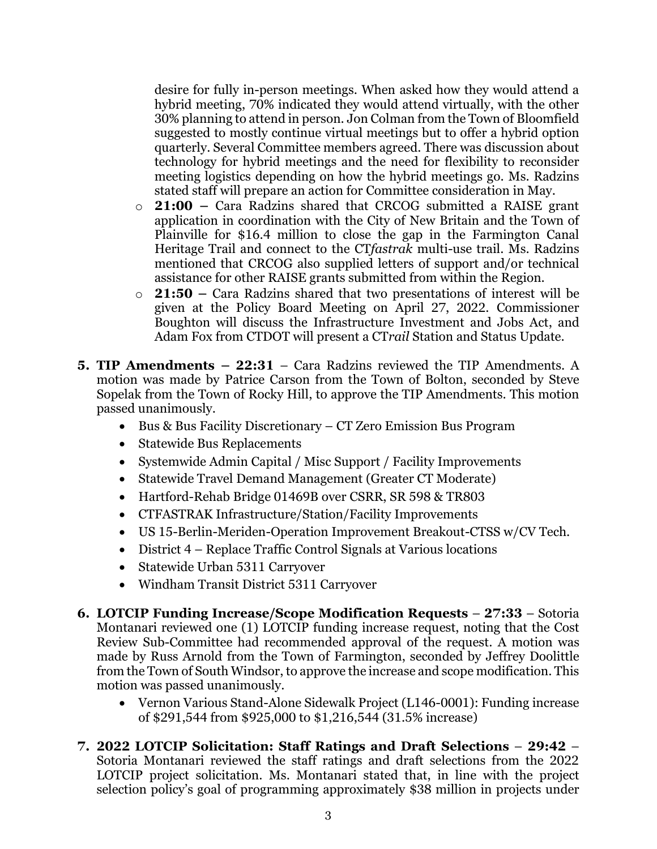desire for fully in-person meetings. When asked how they would attend a hybrid meeting, 70% indicated they would attend virtually, with the other 30% planning to attend in person. Jon Colman from the Town of Bloomfield suggested to mostly continue virtual meetings but to offer a hybrid option quarterly. Several Committee members agreed. There was discussion about technology for hybrid meetings and the need for flexibility to reconsider meeting logistics depending on how the hybrid meetings go. Ms. Radzins stated staff will prepare an action for Committee consideration in May.

- o **21:00 –** Cara Radzins shared that CRCOG submitted a RAISE grant application in coordination with the City of New Britain and the Town of Plainville for \$16.4 million to close the gap in the Farmington Canal Heritage Trail and connect to the CT*fastrak* multi-use trail. Ms. Radzins mentioned that CRCOG also supplied letters of support and/or technical assistance for other RAISE grants submitted from within the Region.
- o **21:50 –** Cara Radzins shared that two presentations of interest will be given at the Policy Board Meeting on April 27, 2022. Commissioner Boughton will discuss the Infrastructure Investment and Jobs Act, and Adam Fox from CTDOT will present a CT*rail* Station and Status Update.
- **5. TIP Amendments – 22:31** Cara Radzins reviewed the TIP Amendments. A motion was made by Patrice Carson from the Town of Bolton, seconded by Steve Sopelak from the Town of Rocky Hill, to approve the TIP Amendments. This motion passed unanimously.
	- Bus & Bus Facility Discretionary CT Zero Emission Bus Program
	- Statewide Bus Replacements
	- Systemwide Admin Capital / Misc Support / Facility Improvements
	- Statewide Travel Demand Management (Greater CT Moderate)
	- Hartford-Rehab Bridge 01469B over CSRR, SR 598 & TR803
	- CTFASTRAK Infrastructure/Station/Facility Improvements
	- US 15-Berlin-Meriden-Operation Improvement Breakout-CTSS w/CV Tech.
	- District 4 Replace Traffic Control Signals at Various locations
	- Statewide Urban 5311 Carryover
	- Windham Transit District 5311 Carryover
- **6. LOTCIP Funding Increase/Scope Modification Requests 27:33** Sotoria Montanari reviewed one (1) LOTCIP funding increase request, noting that the Cost Review Sub-Committee had recommended approval of the request. A motion was made by Russ Arnold from the Town of Farmington, seconded by Jeffrey Doolittle from the Town of South Windsor, to approve the increase and scope modification. This motion was passed unanimously.
	- Vernon Various Stand-Alone Sidewalk Project (L146-0001): Funding increase of \$291,544 from \$925,000 to \$1,216,544 (31.5% increase)
- **7. 2022 LOTCIP Solicitation: Staff Ratings and Draft Selections 29:42** Sotoria Montanari reviewed the staff ratings and draft selections from the 2022 LOTCIP project solicitation. Ms. Montanari stated that, in line with the project selection policy's goal of programming approximately \$38 million in projects under